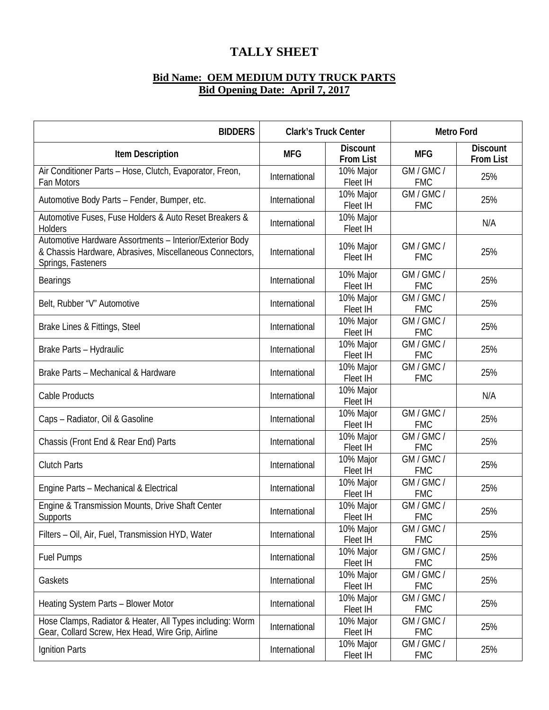## **TALLY SHEET**

## **Bid Name: OEM MEDIUM DUTY TRUCK PARTS Bid Opening Date: April 7, 2017**

| <b>BIDDERS</b>                                                                                                                             | <b>Clark's Truck Center</b> |                                     | <b>Metro Ford</b>        |                                     |
|--------------------------------------------------------------------------------------------------------------------------------------------|-----------------------------|-------------------------------------|--------------------------|-------------------------------------|
| <b>Item Description</b>                                                                                                                    | <b>MFG</b>                  | <b>Discount</b><br><b>From List</b> | <b>MFG</b>               | <b>Discount</b><br><b>From List</b> |
| Air Conditioner Parts - Hose, Clutch, Evaporator, Freon,<br>Fan Motors                                                                     | International               | 10% Major<br>Fleet IH               | GM / GMC /<br><b>FMC</b> | 25%                                 |
| Automotive Body Parts - Fender, Bumper, etc.                                                                                               | International               | 10% Major<br>Fleet IH               | GM / GMC /<br><b>FMC</b> | 25%                                 |
| Automotive Fuses, Fuse Holders & Auto Reset Breakers &<br><b>Holders</b>                                                                   | International               | 10% Major<br>Fleet IH               |                          | N/A                                 |
| Automotive Hardware Assortments - Interior/Exterior Body<br>& Chassis Hardware, Abrasives, Miscellaneous Connectors,<br>Springs, Fasteners | International               | 10% Major<br>Fleet IH               | GM / GMC /<br><b>FMC</b> | 25%                                 |
| <b>Bearings</b>                                                                                                                            | International               | 10% Major<br>Fleet IH               | GM / GMC /<br><b>FMC</b> | 25%                                 |
| Belt, Rubber "V" Automotive                                                                                                                | International               | 10% Major<br>Fleet IH               | GM / GMC /<br><b>FMC</b> | 25%                                 |
| Brake Lines & Fittings, Steel                                                                                                              | International               | 10% Major<br>Fleet IH               | GM / GMC /<br><b>FMC</b> | 25%                                 |
| Brake Parts - Hydraulic                                                                                                                    | International               | 10% Major<br>Fleet IH               | GM / GMC /<br><b>FMC</b> | 25%                                 |
| Brake Parts - Mechanical & Hardware                                                                                                        | International               | 10% Major<br>Fleet IH               | GM / GMC /<br><b>FMC</b> | 25%                                 |
| Cable Products                                                                                                                             | International               | 10% Major<br>Fleet IH               |                          | N/A                                 |
| Caps - Radiator, Oil & Gasoline                                                                                                            | International               | 10% Major<br>Fleet IH               | GM / GMC /<br><b>FMC</b> | 25%                                 |
| Chassis (Front End & Rear End) Parts                                                                                                       | International               | 10% Major<br>Fleet IH               | GM / GMC /<br><b>FMC</b> | 25%                                 |
| <b>Clutch Parts</b>                                                                                                                        | International               | 10% Major<br>Fleet IH               | GM / GMC /<br><b>FMC</b> | 25%                                 |
| Engine Parts - Mechanical & Electrical                                                                                                     | International               | 10% Major<br>Fleet IH               | GM / GMC /<br><b>FMC</b> | 25%                                 |
| Engine & Transmission Mounts, Drive Shaft Center<br><b>Supports</b>                                                                        | International               | 10% Major<br>Fleet IH               | GM / GMC /<br><b>FMC</b> | 25%                                 |
| Filters - Oil, Air, Fuel, Transmission HYD, Water                                                                                          | International               | 10% Major<br>Fleet IH               | GM / GMC /<br><b>FMC</b> | 25%                                 |
| <b>Fuel Pumps</b>                                                                                                                          | International               | 10% Major<br>Fleet IH               | GM / GMC /<br><b>FMC</b> | 25%                                 |
| Gaskets                                                                                                                                    | International               | 10% Major<br>Fleet IH               | GM / GMC /<br><b>FMC</b> | 25%                                 |
| Heating System Parts - Blower Motor                                                                                                        | International               | 10% Major<br>Fleet IH               | GM / GMC /<br><b>FMC</b> | 25%                                 |
| Hose Clamps, Radiator & Heater, All Types including: Worm<br>Gear, Collard Screw, Hex Head, Wire Grip, Airline                             | International               | 10% Major<br>Fleet IH               | GM / GMC /<br><b>FMC</b> | 25%                                 |
| Ignition Parts                                                                                                                             | International               | 10% Major<br>Fleet IH               | GM / GMC /<br><b>FMC</b> | 25%                                 |